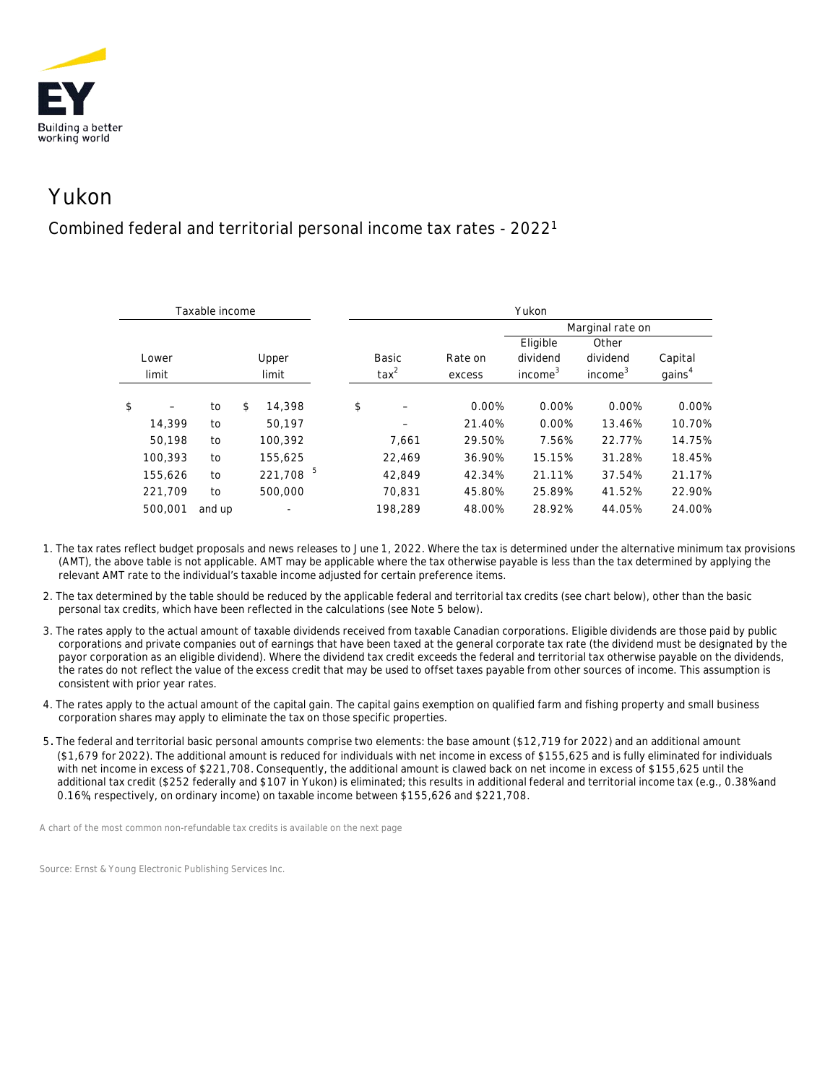

## Yukon

## Combined federal and territorial personal income tax rates - 20221

| Taxable income |         |        |       |                          |  | Yukon          |         |                  |                     |                     |                    |  |
|----------------|---------|--------|-------|--------------------------|--|----------------|---------|------------------|---------------------|---------------------|--------------------|--|
|                |         |        |       |                          |  |                |         | Marginal rate on |                     |                     |                    |  |
|                |         |        |       |                          |  |                |         |                  | Eligible            | Other               |                    |  |
|                | Lower   |        | Upper |                          |  | <b>Basic</b>   |         | Rate on          | dividend            | dividend            | Capital            |  |
|                | limit   |        | limit |                          |  | $\text{tax}^2$ |         | excess           | income <sup>3</sup> | income <sup>3</sup> | gains <sup>4</sup> |  |
|                |         |        |       |                          |  |                |         |                  |                     |                     |                    |  |
| \$             |         | to     | \$    | 14,398                   |  | \$             |         | 0.00%            | 0.00%               | 0.00%               | 0.00%              |  |
|                | 14,399  | to     |       | 50.197                   |  |                |         | 21.40%           | 0.00%               | 13.46%              | 10.70%             |  |
|                | 50,198  | to     |       | 100,392                  |  |                | 7,661   | 29.50%           | 7.56%               | 22.77%              | 14.75%             |  |
|                | 100,393 | to     |       | 155,625                  |  |                | 22,469  | 36.90%           | 15.15%              | 31.28%              | 18.45%             |  |
|                | 155,626 | to     |       | 221,708 $^5$             |  |                | 42.849  | 42.34%           | 21.11%              | 37.54%              | 21.17%             |  |
|                | 221,709 | to     |       | 500,000                  |  |                | 70.831  | 45.80%           | 25.89%              | 41.52%              | 22.90%             |  |
|                | 500,001 | and up |       | $\overline{\phantom{a}}$ |  |                | 198.289 | 48.00%           | 28.92%              | 44.05%              | 24.00%             |  |

- 1. The tax rates reflect budget proposals and news releases to June 1, 2022. Where the tax is determined under the alternative minimum tax provisions (AMT), the above table is not applicable. AMT may be applicable where the tax otherwise payable is less than the tax determined by applying the relevant AMT rate to the individual's taxable income adjusted for certain preference items.
- 2. The tax determined by the table should be reduced by the applicable federal and territorial tax credits (see chart below), other than the basic personal tax credits, which have been reflected in the calculations (see Note 5 below).
- 3. The rates apply to the actual amount of taxable dividends received from taxable Canadian corporations. Eligible dividends are those paid by public corporations and private companies out of earnings that have been taxed at the general corporate tax rate (the dividend must be designated by the payor corporation as an eligible dividend). Where the dividend tax credit exceeds the federal and territorial tax otherwise payable on the dividends, the rates do not reflect the value of the excess credit that may be used to offset taxes payable from other sources of income. This assumption is consistent with prior year rates.
- 4. The rates apply to the actual amount of the capital gain. The capital gains exemption on qualified farm and fishing property and small business corporation shares may apply to eliminate the tax on those specific properties.
- 5. The federal and territorial basic personal amounts comprise two elements: the base amount (\$12,719 for 2022) and an additional amount (\$1,679 for 2022). The additional amount is reduced for individuals with net income in excess of \$155,625 and is fully eliminated for individuals with net income in excess of \$221,708. Consequently, the additional amount is clawed back on net income in excess of \$155,625 until the additional tax credit (\$252 federally and \$107 in Yukon) is eliminated; this results in additional federal and territorial income tax (e.g., 0.38% and 0.16%, respectively, on ordinary income) on taxable income between \$155,626 and \$221,708.

*A chart of the most common non-refundable tax credits is available on the next page*

*Source: Ernst & Young Electronic Publishing Services Inc.*